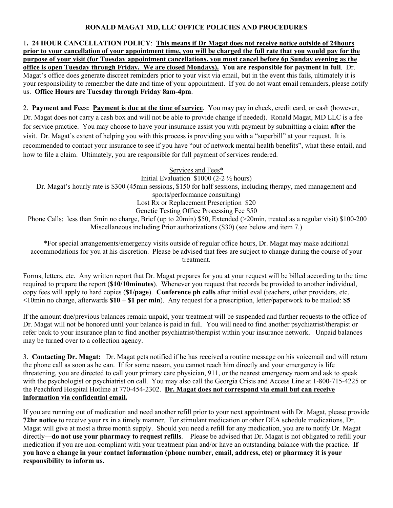## **RONALD MAGAT MD, LLC OFFICE POLICIES AND PROCEDURES**

1**. 24 HOUR CANCELLATION POLICY**: **This means if Dr Magat does not receive notice outside of 24hours prior to your cancellation of your appointment time, you will be charged the full rate that you would pay for the purpose of your visit (for Tuesday appointment cancellations, you must cancel before 6p Sunday evening as the office is open Tuesday through Friday. We are closed Mondays). You are responsible for payment in full**. Dr. Magat's office does generate discreet reminders prior to your visit via email, but in the event this fails, ultimately it is your responsibility to remember the date and time of your appointment. If you do not want email reminders, please notify us. **Office Hours are Tuesday through Friday 8am-4pm**.

2. **Payment and Fees: Payment is due at the time of service**. You may pay in check, credit card, or cash (however, Dr. Magat does not carry a cash box and will not be able to provide change if needed). Ronald Magat, MD LLC is a fee for service practice. You may choose to have your insurance assist you with payment by submitting a claim **after** the visit. Dr. Magat's extent of helping you with this process is providing you with a "superbill" at your request. It is recommended to contact your insurance to see if you have "out of network mental health benefits", what these entail, and how to file a claim. Ultimately, you are responsible for full payment of services rendered.

Services and Fees\*

Initial Evaluation \$1000 (2-2 ½ hours)

Dr. Magat's hourly rate is \$300 (45min sessions, \$150 for half sessions, including therapy, med management and sports/performance consulting)

Lost Rx or Replacement Prescription \$20

Genetic Testing Office Processing Fee \$50

Phone Calls: less than 5min no charge, Brief (up to 20min) \$50, Extended (>20min, treated as a regular visit) \$100-200 Miscellaneous including Prior authorizations (\$30) (see below and item 7.)

\*For special arrangements/emergency visits outside of regular office hours, Dr. Magat may make additional accommodations for you at his discretion. Please be advised that fees are subject to change during the course of your treatment.

Forms, letters, etc. Any written report that Dr. Magat prepares for you at your request will be billed according to the time required to prepare the report (**\$10/10minutes**). Whenever you request that records be provided to another individual, copy fees will apply to hard copies (**\$1/page**). **Conference ph calls** after initial eval (teachers, other providers, etc. <10min no charge, afterwards **\$10 + \$1 per min**). Any request for a prescription, letter/paperwork to be mailed: **\$5**

If the amount due/previous balances remain unpaid, your treatment will be suspended and further requests to the office of Dr. Magat will not be honored until your balance is paid in full. You will need to find another psychiatrist/therapist or refer back to your insurance plan to find another psychiatrist/therapist within your insurance network. Unpaid balances may be turned over to a collection agency.

3. **Contacting Dr. Magat:** Dr. Magat gets notified if he has received a routine message on his voicemail and will return the phone call as soon as he can. If for some reason, you cannot reach him directly and your emergency is life threatening, you are directed to call your primary care physician, 911, or the nearest emergency room and ask to speak with the psychologist or psychiatrist on call. You may also call the Georgia Crisis and Access Line at 1-800-715-4225 or the Peachford Hospital Hotline at 770-454-2302. **Dr. Magat does not correspond via email but can receive information via confidential email.** 

If you are running out of medication and need another refill prior to your next appointment with Dr. Magat, please provide **72hr notice** to receive your rx in a timely manner. For stimulant medication or other DEA schedule medications, Dr. Magat will give at most a three month supply. Should you need a refill for any medication, you are to notify Dr. Magat directly—**do not use your pharmacy to request refills**. Please be advised that Dr. Magat is not obligated to refill your medication if you are non-compliant with your treatment plan and/or have an outstanding balance with the practice. **If you have a change in your contact information (phone number, email, address, etc) or pharmacy it is your responsibility to inform us.**